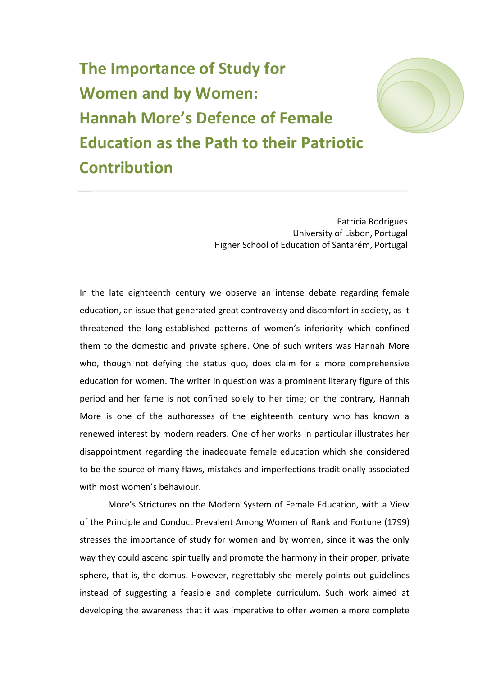**The Importance of Study for Women and by Women: Hannah More's Defence of Female Education as the Path to their Patriotic Contribution**

> Patrícia Rodrigues University of Lisbon, Portugal Higher School of Education of Santarém, Portugal

In the late eighteenth century we observe an intense debate regarding female education, an issue that generated great controversy and discomfort in society, as it threatened the long-established patterns of women's inferiority which confined them to the domestic and private sphere. One of such writers was Hannah More who, though not defying the status quo, does claim for a more comprehensive education for women. The writer in question was a prominent literary figure of this period and her fame is not confined solely to her time; on the contrary, Hannah More is one of the authoresses of the eighteenth century who has known a renewed interest by modern readers. One of her works in particular illustrates her disappointment regarding the inadequate female education which she considered to be the source of many flaws, mistakes and imperfections traditionally associated with most women's behaviour.

More's Strictures on the Modern System of Female Education, with a View of the Principle and Conduct Prevalent Among Women of Rank and Fortune (1799) stresses the importance of study for women and by women, since it was the only way they could ascend spiritually and promote the harmony in their proper, private sphere, that is, the domus. However, regrettably she merely points out guidelines instead of suggesting a feasible and complete curriculum. Such work aimed at developing the awareness that it was imperative to offer women a more complete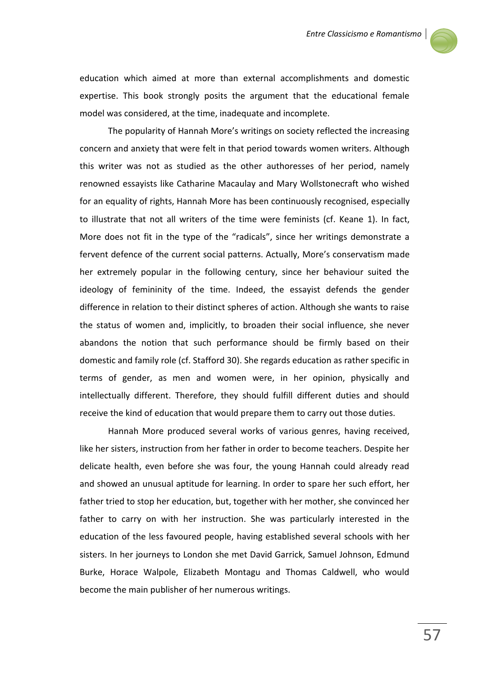

education which aimed at more than external accomplishments and domestic expertise. This book strongly posits the argument that the educational female model was considered, at the time, inadequate and incomplete.

The popularity of Hannah More's writings on society reflected the increasing concern and anxiety that were felt in that period towards women writers. Although this writer was not as studied as the other authoresses of her period, namely renowned essayists like Catharine Macaulay and Mary Wollstonecraft who wished for an equality of rights, Hannah More has been continuously recognised, especially to illustrate that not all writers of the time were feminists (cf. Keane 1). In fact, More does not fit in the type of the "radicals", since her writings demonstrate a fervent defence of the current social patterns. Actually, More's conservatism made her extremely popular in the following century, since her behaviour suited the ideology of femininity of the time. Indeed, the essayist defends the gender difference in relation to their distinct spheres of action. Although she wants to raise the status of women and, implicitly, to broaden their social influence, she never abandons the notion that such performance should be firmly based on their domestic and family role (cf. Stafford 30). She regards education as rather specific in terms of gender, as men and women were, in her opinion, physically and intellectually different. Therefore, they should fulfill different duties and should receive the kind of education that would prepare them to carry out those duties.

Hannah More produced several works of various genres, having received, like her sisters, instruction from her father in order to become teachers. Despite her delicate health, even before she was four, the young Hannah could already read and showed an unusual aptitude for learning. In order to spare her such effort, her father tried to stop her education, but, together with her mother, she convinced her father to carry on with her instruction. She was particularly interested in the education of the less favoured people, having established several schools with her sisters. In her journeys to London she met David Garrick, Samuel Johnson, Edmund Burke, Horace Walpole, Elizabeth Montagu and Thomas Caldwell, who would become the main publisher of her numerous writings.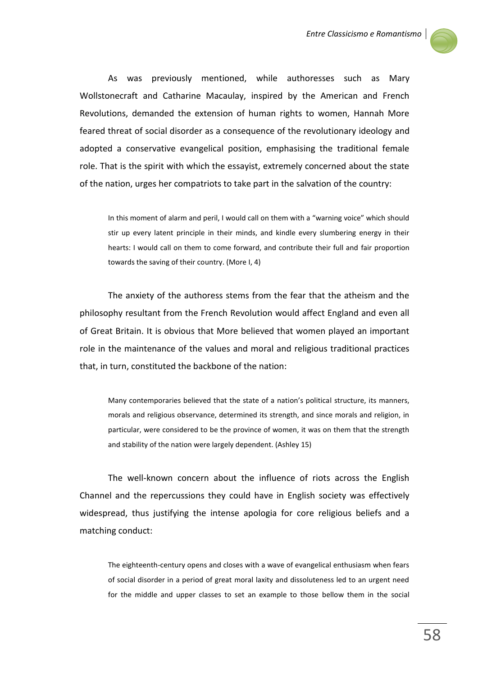

As was previously mentioned, while authoresses such as Mary Wollstonecraft and Catharine Macaulay, inspired by the American and French Revolutions, demanded the extension of human rights to women, Hannah More feared threat of social disorder as a consequence of the revolutionary ideology and adopted a conservative evangelical position, emphasising the traditional female role. That is the spirit with which the essayist, extremely concerned about the state of the nation, urges her compatriots to take part in the salvation of the country:

In this moment of alarm and peril, I would call on them with a "warning voice" which should stir up every latent principle in their minds, and kindle every slumbering energy in their hearts: I would call on them to come forward, and contribute their full and fair proportion towards the saving of their country. (More I, 4)

The anxiety of the authoress stems from the fear that the atheism and the philosophy resultant from the French Revolution would affect England and even all of Great Britain. It is obvious that More believed that women played an important role in the maintenance of the values and moral and religious traditional practices that, in turn, constituted the backbone of the nation:

Many contemporaries believed that the state of a nation's political structure, its manners, morals and religious observance, determined its strength, and since morals and religion, in particular, were considered to be the province of women, it was on them that the strength and stability of the nation were largely dependent. (Ashley 15)

The well-known concern about the influence of riots across the English Channel and the repercussions they could have in English society was effectively widespread, thus justifying the intense apologia for core religious beliefs and a matching conduct:

The eighteenth-century opens and closes with a wave of evangelical enthusiasm when fears of social disorder in a period of great moral laxity and dissoluteness led to an urgent need for the middle and upper classes to set an example to those bellow them in the social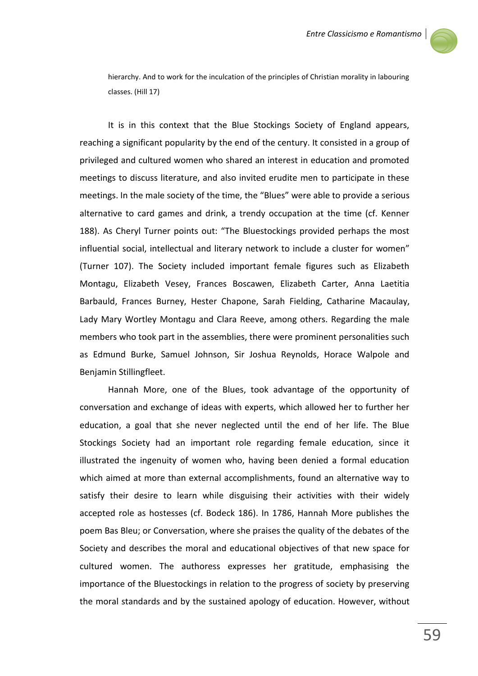

hierarchy. And to work for the inculcation of the principles of Christian morality in labouring classes. (Hill 17)

It is in this context that the Blue Stockings Society of England appears, reaching a significant popularity by the end of the century. It consisted in a group of privileged and cultured women who shared an interest in education and promoted meetings to discuss literature, and also invited erudite men to participate in these meetings. In the male society of the time, the "Blues" were able to provide a serious alternative to card games and drink, a trendy occupation at the time (cf. Kenner 188). As Cheryl Turner points out: "The Bluestockings provided perhaps the most influential social, intellectual and literary network to include a cluster for women" (Turner 107). The Society included important female figures such as Elizabeth Montagu, Elizabeth Vesey, Frances Boscawen, Elizabeth Carter, Anna Laetitia Barbauld, Frances Burney, Hester Chapone, Sarah Fielding, Catharine Macaulay, Lady Mary Wortley Montagu and Clara Reeve, among others. Regarding the male members who took part in the assemblies, there were prominent personalities such as Edmund Burke, Samuel Johnson, Sir Joshua Reynolds, Horace Walpole and Benjamin Stillingfleet.

Hannah More, one of the Blues, took advantage of the opportunity of conversation and exchange of ideas with experts, which allowed her to further her education, a goal that she never neglected until the end of her life. The Blue Stockings Society had an important role regarding female education, since it illustrated the ingenuity of women who, having been denied a formal education which aimed at more than external accomplishments, found an alternative way to satisfy their desire to learn while disguising their activities with their widely accepted role as hostesses (cf. Bodeck 186). In 1786, Hannah More publishes the poem Bas Bleu; or Conversation, where she praises the quality of the debates of the Society and describes the moral and educational objectives of that new space for cultured women. The authoress expresses her gratitude, emphasising the importance of the Bluestockings in relation to the progress of society by preserving the moral standards and by the sustained apology of education. However, without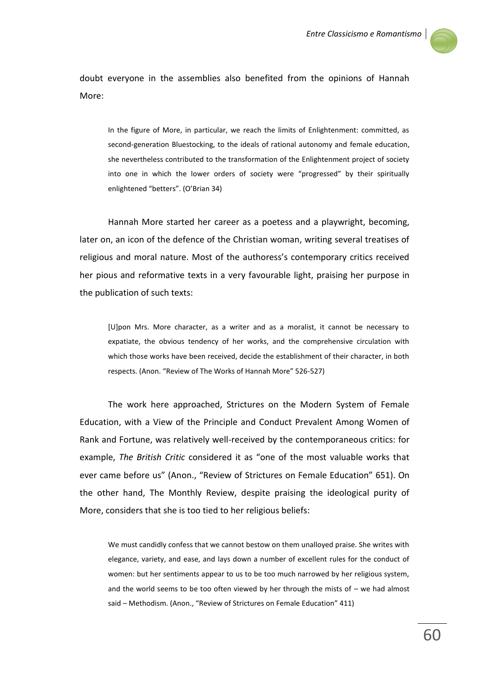

doubt everyone in the assemblies also benefited from the opinions of Hannah More:

In the figure of More, in particular, we reach the limits of Enlightenment: committed, as second-generation Bluestocking, to the ideals of rational autonomy and female education, she nevertheless contributed to the transformation of the Enlightenment project of society into one in which the lower orders of society were "progressed" by their spiritually enlightened "betters". (O'Brian 34)

Hannah More started her career as a poetess and a playwright, becoming, later on, an icon of the defence of the Christian woman, writing several treatises of religious and moral nature. Most of the authoress's contemporary critics received her pious and reformative texts in a very favourable light, praising her purpose in the publication of such texts:

[U]pon Mrs. More character, as a writer and as a moralist, it cannot be necessary to expatiate, the obvious tendency of her works, and the comprehensive circulation with which those works have been received, decide the establishment of their character, in both respects. (Anon. "Review of The Works of Hannah More" 526-527)

The work here approached, Strictures on the Modern System of Female Education, with a View of the Principle and Conduct Prevalent Among Women of Rank and Fortune, was relatively well-received by the contemporaneous critics: for example, *The British Critic* considered it as "one of the most valuable works that ever came before us" (Anon., "Review of Strictures on Female Education" 651). On the other hand, The Monthly Review, despite praising the ideological purity of More, considers that she is too tied to her religious beliefs:

We must candidly confess that we cannot bestow on them unalloyed praise. She writes with elegance, variety, and ease, and lays down a number of excellent rules for the conduct of women: but her sentiments appear to us to be too much narrowed by her religious system, and the world seems to be too often viewed by her through the mists of  $-$  we had almost said – Methodism. (Anon., "Review of Strictures on Female Education" 411)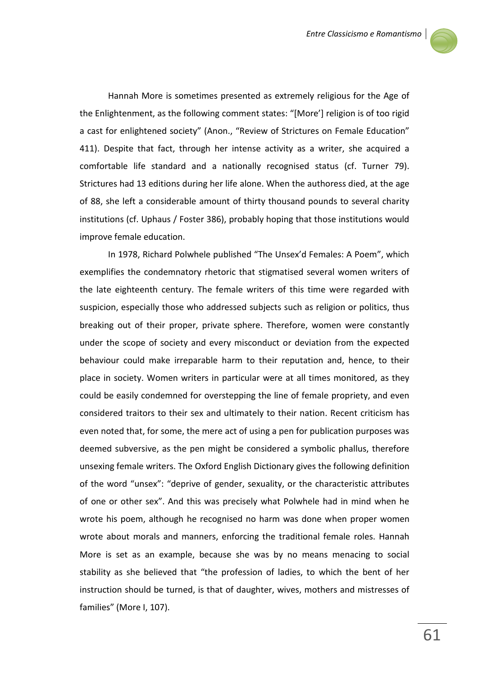

Hannah More is sometimes presented as extremely religious for the Age of the Enlightenment, as the following comment states: "[More'] religion is of too rigid a cast for enlightened society" (Anon., "Review of Strictures on Female Education" 411). Despite that fact, through her intense activity as a writer, she acquired a comfortable life standard and a nationally recognised status (cf. Turner 79). Strictures had 13 editions during her life alone. When the authoress died, at the age of 88, she left a considerable amount of thirty thousand pounds to several charity institutions (cf. Uphaus / Foster 386), probably hoping that those institutions would improve female education.

In 1978, Richard Polwhele published "The Unsex'd Females: A Poem", which exemplifies the condemnatory rhetoric that stigmatised several women writers of the late eighteenth century. The female writers of this time were regarded with suspicion, especially those who addressed subjects such as religion or politics, thus breaking out of their proper, private sphere. Therefore, women were constantly under the scope of society and every misconduct or deviation from the expected behaviour could make irreparable harm to their reputation and, hence, to their place in society. Women writers in particular were at all times monitored, as they could be easily condemned for overstepping the line of female propriety, and even considered traitors to their sex and ultimately to their nation. Recent criticism has even noted that, for some, the mere act of using a pen for publication purposes was deemed subversive, as the pen might be considered a symbolic phallus, therefore unsexing female writers. The Oxford English Dictionary gives the following definition of the word "unsex": "deprive of gender, sexuality, or the characteristic attributes of one or other sex". And this was precisely what Polwhele had in mind when he wrote his poem, although he recognised no harm was done when proper women wrote about morals and manners, enforcing the traditional female roles. Hannah More is set as an example, because she was by no means menacing to social stability as she believed that "the profession of ladies, to which the bent of her instruction should be turned, is that of daughter, wives, mothers and mistresses of families" (More I, 107).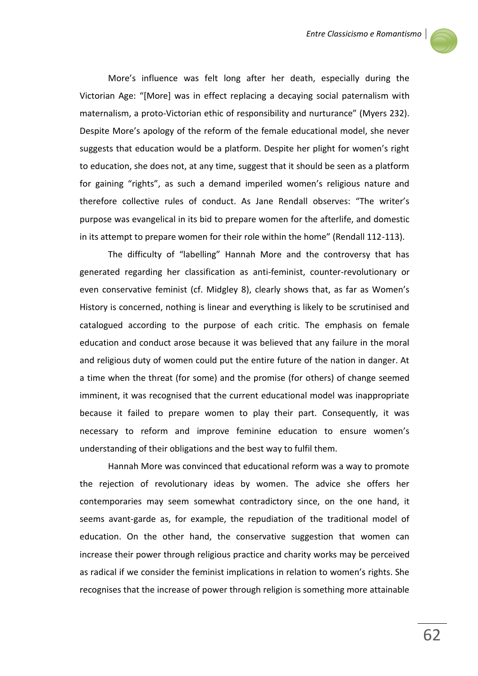

More's influence was felt long after her death, especially during the Victorian Age: "[More] was in effect replacing a decaying social paternalism with maternalism, a proto-Victorian ethic of responsibility and nurturance" (Myers 232). Despite More's apology of the reform of the female educational model, she never suggests that education would be a platform. Despite her plight for women's right to education, she does not, at any time, suggest that it should be seen as a platform for gaining "rights", as such a demand imperiled women's religious nature and therefore collective rules of conduct. As Jane Rendall observes: "The writer's purpose was evangelical in its bid to prepare women for the afterlife, and domestic in its attempt to prepare women for their role within the home" (Rendall 112-113).

The difficulty of "labelling" Hannah More and the controversy that has generated regarding her classification as anti-feminist, counter-revolutionary or even conservative feminist (cf. Midgley 8), clearly shows that, as far as Women's History is concerned, nothing is linear and everything is likely to be scrutinised and catalogued according to the purpose of each critic. The emphasis on female education and conduct arose because it was believed that any failure in the moral and religious duty of women could put the entire future of the nation in danger. At a time when the threat (for some) and the promise (for others) of change seemed imminent, it was recognised that the current educational model was inappropriate because it failed to prepare women to play their part. Consequently, it was necessary to reform and improve feminine education to ensure women's understanding of their obligations and the best way to fulfil them.

Hannah More was convinced that educational reform was a way to promote the rejection of revolutionary ideas by women. The advice she offers her contemporaries may seem somewhat contradictory since, on the one hand, it seems avant-garde as, for example, the repudiation of the traditional model of education. On the other hand, the conservative suggestion that women can increase their power through religious practice and charity works may be perceived as radical if we consider the feminist implications in relation to women's rights. She recognises that the increase of power through religion is something more attainable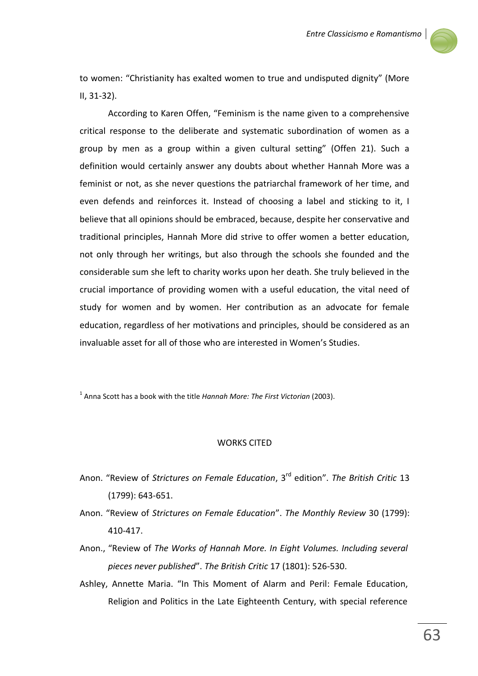

to women: "Christianity has exalted women to true and undisputed dignity" (More II, 31-32).

According to Karen Offen, "Feminism is the name given to a comprehensive critical response to the deliberate and systematic subordination of women as a group by men as a group within a given cultural setting" (Offen 21). Such a definition would certainly answer any doubts about whether Hannah More was a feminist or not, as she never questions the patriarchal framework of her time, and even defends and reinforces it. Instead of choosing a label and sticking to it, I believe that all opinions should be embraced, because, despite her conservative and traditional principles, Hannah More did strive to offer women a better education, not only through her writings, but also through the schools she founded and the considerable sum she left to charity works upon her death. She truly believed in the crucial importance of providing women with a useful education, the vital need of study for women and by women. Her contribution as an advocate for female education, regardless of her motivations and principles, should be considered as an invaluable asset for all of those who are interested in Women's Studies.

1 Anna Scott has a book with the title *Hannah More: The First Victorian* (2003).

## WORKS CITED

- Anon. "Review of *Strictures on Female Education*, 3rd edition". *The British Critic* 13 (1799): 643-651.
- Anon. "Review of *Strictures on Female Education*". *The Monthly Review* 30 (1799): 410-417.
- Anon., "Review of *The Works of Hannah More. In Eight Volumes. Including several pieces never published*". *The British Critic* 17 (1801): 526-530.
- Ashley, Annette Maria. "In This Moment of Alarm and Peril: Female Education, Religion and Politics in the Late Eighteenth Century, with special reference